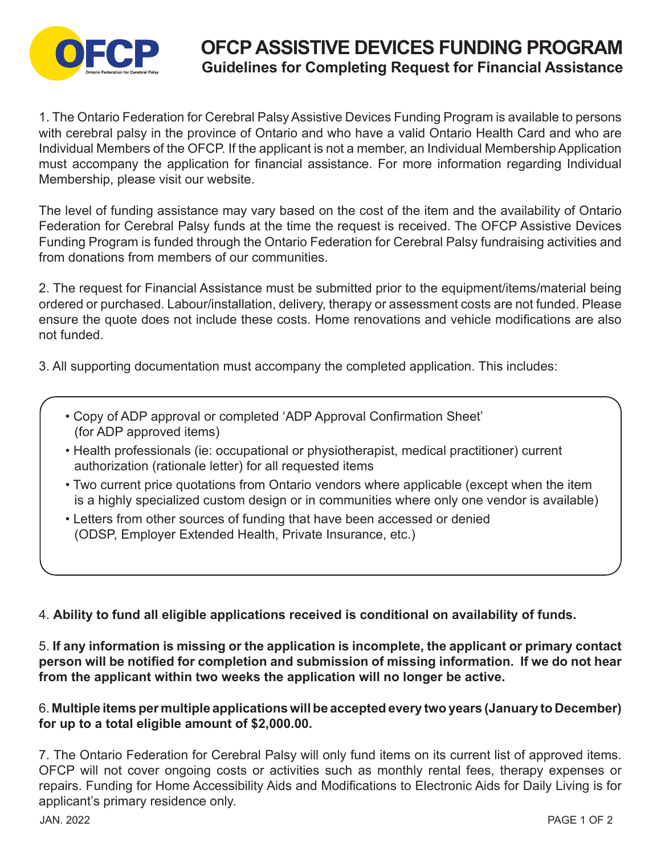

## **OFCP ASSISTIVE DEVICES FUNDING PROGRAM Guidelines for Completing Request for Financial Assistance**

1. The Ontario Federation for Cerebral Palsy Assistive Devices Funding Program is available to persons with cerebral palsy in the province of Ontario and who have a valid Ontario Health Card and who are Individual Members of the OFCP. If the applicant is not a member, an Individual Membership Application must accompany the application for financial assistance. For more information regarding Individual Membership, please visit our website.

The level of funding assistance may vary based on the cost of the item and the availability of Ontario Federation for Cerebral Palsy funds at the time the request is received. The OFCP Assistive Devices Funding Program is funded through the Ontario Federation for Cerebral Palsy fundraising activities and from donations from members of our communities.

2. The request for Financial Assistance must be submitted prior to the equipment/items/material being ordered or purchased. Labour/installation, delivery, therapy or assessment costs are not funded. Please ensure the quote does not include these costs. Home renovations and vehicle modifications are also not funded.

3. All supporting documentation must accompany the completed application. This includes:

- Copy of ADP approval or completed 'ADP Approval Confirmation Sheet' (for ADP approved items)
- Health professionals (ie: occupational or physiotherapist, medical practitioner) current authorization (rationale letter) for all requested items
- Two current price quotations from Ontario vendors where applicable (except when the item is a highly specialized custom design or in communities where only one vendor is available)
- Letters from other sources of funding that have been accessed or denied (ODSP, Employer Extended Health, Private Insurance, etc.)

## 4. **Ability to fund all eligible applications received is conditional on availability of funds.**

5. **If any information is missing or the application is incomplete, the applicant or primary contact person will be notified for completion and submission of missing information. If we do not hear from the applicant within two weeks the application will no longer be active.**

## 6. **Multiple items per multiple applications will be accepted every two years (January to December) for up to a total eligible amount of \$2,000.00.**

7. The Ontario Federation for Cerebral Palsy will only fund items on its current list of approved items. OFCP will not cover ongoing costs or activities such as monthly rental fees, therapy expenses or repairs. Funding for Home Accessibility Aids and Modifications to Electronic Aids for Daily Living is for applicant's primary residence only.